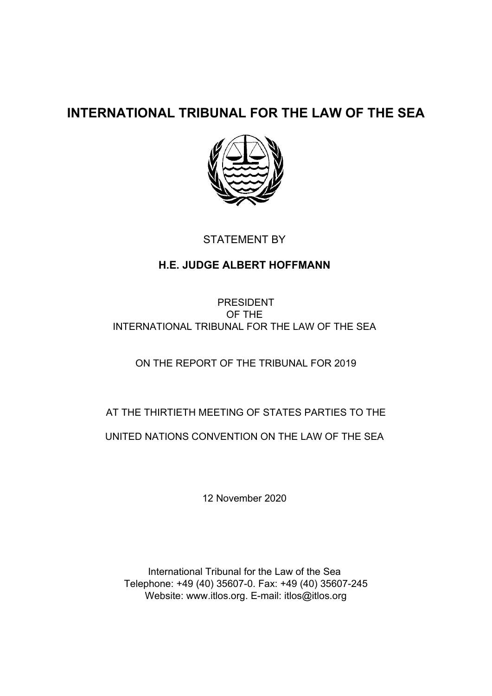## **INTERNATIONAL TRIBUNAL FOR THE LAW OF THE SEA**



## STATEMENT BY

## **H.E. JUDGE ALBERT HOFFMANN**

PRESIDENT OF THE INTERNATIONAL TRIBUNAL FOR THE LAW OF THE SEA

ON THE REPORT OF THE TRIBUNAL FOR 2019

AT THE THIRTIETH MEETING OF STATES PARTIES TO THE UNITED NATIONS CONVENTION ON THE LAW OF THE SEA

12 November 2020

International Tribunal for the Law of the Sea Telephone: +49 (40) 35607-0. Fax: +49 (40) 35607-245 Website: www.itlos.org. E-mail: itlos@itlos.org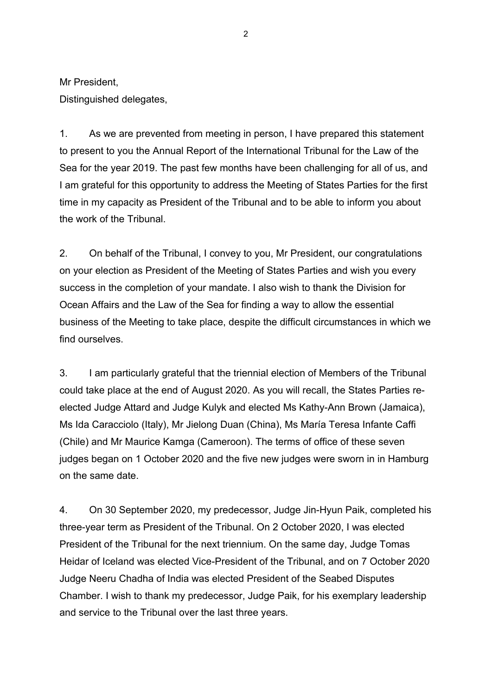Mr President,

Distinguished delegates,

1. As we are prevented from meeting in person, I have prepared this statement to present to you the Annual Report of the International Tribunal for the Law of the Sea for the year 2019. The past few months have been challenging for all of us, and I am grateful for this opportunity to address the Meeting of States Parties for the first time in my capacity as President of the Tribunal and to be able to inform you about the work of the Tribunal.

2. On behalf of the Tribunal, I convey to you, Mr President, our congratulations on your election as President of the Meeting of States Parties and wish you every success in the completion of your mandate. I also wish to thank the Division for Ocean Affairs and the Law of the Sea for finding a way to allow the essential business of the Meeting to take place, despite the difficult circumstances in which we find ourselves.

3. I am particularly grateful that the triennial election of Members of the Tribunal could take place at the end of August 2020. As you will recall, the States Parties reelected Judge Attard and Judge Kulyk and elected Ms Kathy-Ann Brown (Jamaica), Ms Ida Caracciolo (Italy), Mr Jielong Duan (China), Ms María Teresa Infante Caffi (Chile) and Mr Maurice Kamga (Cameroon). The terms of office of these seven judges began on 1 October 2020 and the five new judges were sworn in in Hamburg on the same date.

4. On 30 September 2020, my predecessor, Judge Jin-Hyun Paik, completed his three-year term as President of the Tribunal. On 2 October 2020, I was elected President of the Tribunal for the next triennium. On the same day, Judge Tomas Heidar of Iceland was elected Vice-President of the Tribunal, and on 7 October 2020 Judge Neeru Chadha of India was elected President of the Seabed Disputes Chamber. I wish to thank my predecessor, Judge Paik, for his exemplary leadership and service to the Tribunal over the last three years.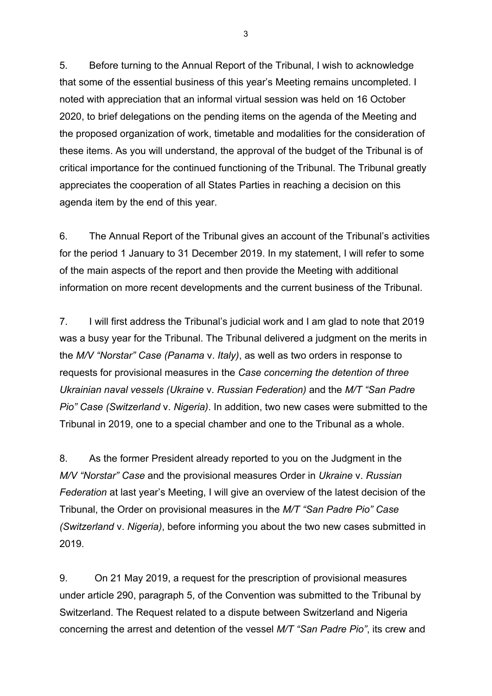5. Before turning to the Annual Report of the Tribunal, I wish to acknowledge that some of the essential business of this year's Meeting remains uncompleted. I noted with appreciation that an informal virtual session was held on 16 October 2020, to brief delegations on the pending items on the agenda of the Meeting and the proposed organization of work, timetable and modalities for the consideration of these items. As you will understand, the approval of the budget of the Tribunal is of critical importance for the continued functioning of the Tribunal. The Tribunal greatly appreciates the cooperation of all States Parties in reaching a decision on this agenda item by the end of this year.

6. The Annual Report of the Tribunal gives an account of the Tribunal's activities for the period 1 January to 31 December 2019. In my statement, I will refer to some of the main aspects of the report and then provide the Meeting with additional information on more recent developments and the current business of the Tribunal.

7. I will first address the Tribunal's judicial work and I am glad to note that 2019 was a busy year for the Tribunal. The Tribunal delivered a judgment on the merits in the *M/V "Norstar" Case (Panama* v. *Italy)*, as well as two orders in response to requests for provisional measures in the *Case concerning the detention of three Ukrainian naval vessels (Ukraine* v. *Russian Federation)* and the *M/T "San Padre Pio" Case (Switzerland* v. *Nigeria)*. In addition, two new cases were submitted to the Tribunal in 2019, one to a special chamber and one to the Tribunal as a whole.

8. As the former President already reported to you on the Judgment in the *M/V "Norstar" Case* and the provisional measures Order in *Ukraine* v. *Russian Federation* at last year's Meeting, I will give an overview of the latest decision of the Tribunal, the Order on provisional measures in the *M/T "San Padre Pio" Case (Switzerland* v. *Nigeria)*, before informing you about the two new cases submitted in 2019.

9. On 21 May 2019, a request for the prescription of provisional measures under article 290, paragraph 5, of the Convention was submitted to the Tribunal by Switzerland. The Request related to a dispute between Switzerland and Nigeria concerning the arrest and detention of the vessel *M/T "San Padre Pio"*, its crew and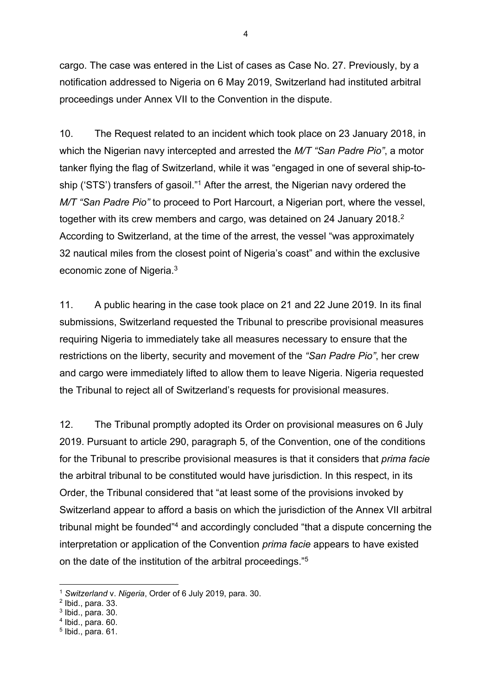cargo. The case was entered in the List of cases as Case No. 27. Previously, by a notification addressed to Nigeria on 6 May 2019, Switzerland had instituted arbitral proceedings under Annex VII to the Convention in the dispute.

10. The Request related to an incident which took place on 23 January 2018, in which the Nigerian navy intercepted and arrested the *M/T "San Padre Pio"*, a motor tanker flying the flag of Switzerland, while it was "engaged in one of several ship-toship ('STS') transfers of gasoil."1 After the arrest, the Nigerian navy ordered the *M/T "San Padre Pio"* to proceed to Port Harcourt, a Nigerian port, where the vessel, together with its crew members and cargo, was detained on 24 January 2018.<sup>2</sup> According to Switzerland, at the time of the arrest, the vessel "was approximately 32 nautical miles from the closest point of Nigeria's coast" and within the exclusive economic zone of Nigeria.3

11. A public hearing in the case took place on 21 and 22 June 2019. In its final submissions, Switzerland requested the Tribunal to prescribe provisional measures requiring Nigeria to immediately take all measures necessary to ensure that the restrictions on the liberty, security and movement of the *"San Padre Pio"*, her crew and cargo were immediately lifted to allow them to leave Nigeria. Nigeria requested the Tribunal to reject all of Switzerland's requests for provisional measures.

12. The Tribunal promptly adopted its Order on provisional measures on 6 July 2019. Pursuant to article 290, paragraph 5, of the Convention, one of the conditions for the Tribunal to prescribe provisional measures is that it considers that *prima facie*  the arbitral tribunal to be constituted would have jurisdiction. In this respect, in its Order, the Tribunal considered that "at least some of the provisions invoked by Switzerland appear to afford a basis on which the jurisdiction of the Annex VII arbitral tribunal might be founded"4 and accordingly concluded "that a dispute concerning the interpretation or application of the Convention *prima facie* appears to have existed on the date of the institution of the arbitral proceedings."5

<sup>1</sup> *Switzerland* v. *Nigeria*, Order of 6 July 2019, para. 30.

<sup>2</sup> Ibid., para. 33.

 $3$  Ibid., para. 30.

 $4$  Ibid., para. 60.

 $<sup>5</sup>$  Ibid., para. 61.</sup>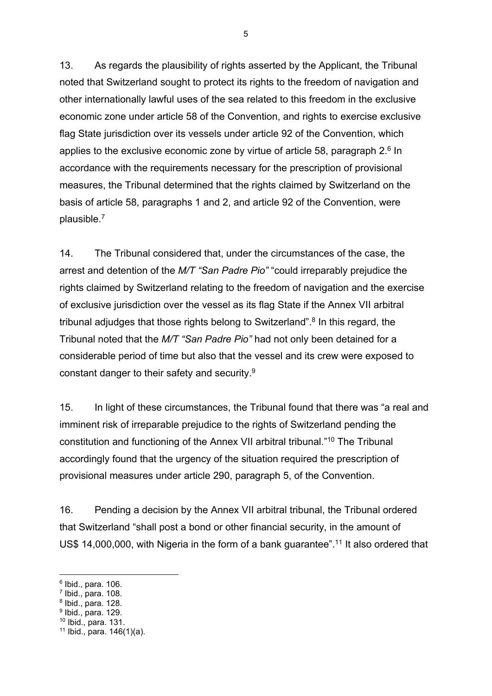13. As regards the plausibility of rights asserted by the Applicant, the Tribunal noted that Switzerland sought to protect its rights to the freedom of navigation and other internationally lawful uses of the sea related to this freedom in the exclusive economic zone under article 58 of the Convention, and rights to exercise exclusive flag State jurisdiction over its vessels under article 92 of the Convention, which applies to the exclusive economic zone by virtue of article 58, paragraph  $2<sup>6</sup>$  In accordance with the requirements necessary for the prescription of provisional measures, the Tribunal determined that the rights claimed by Switzerland on the basis of article 58, paragraphs 1 and 2, and article 92 of the Convention, were plausible.7

14. The Tribunal considered that, under the circumstances of the case, the arrest and detention of the *M/T "San Padre Pio"* "could irreparably prejudice the rights claimed by Switzerland relating to the freedom of navigation and the exercise of exclusive jurisdiction over the vessel as its flag State if the Annex VII arbitral tribunal adjudges that those rights belong to Switzerland".<sup>8</sup> In this regard, the Tribunal noted that the *M/T "San Padre Pio"* had not only been detained for a considerable period of time but also that the vessel and its crew were exposed to constant danger to their safety and security.9

15. In light of these circumstances, the Tribunal found that there was "a real and imminent risk of irreparable prejudice to the rights of Switzerland pending the constitution and functioning of the Annex VII arbitral tribunal."10 The Tribunal accordingly found that the urgency of the situation required the prescription of provisional measures under article 290, paragraph 5, of the Convention.

16. Pending a decision by the Annex VII arbitral tribunal, the Tribunal ordered that Switzerland "shall post a bond or other financial security, in the amount of US\$ 14,000,000, with Nigeria in the form of a bank guarantee".<sup>11</sup> It also ordered that

1

 $6$  Ibid., para. 106.

 $<sup>7</sup>$  Ibid., para. 108.</sup>

 $8$  Ibid., para. 128.

<sup>9</sup> Ibid., para. 129.

<sup>10</sup> Ibid., para. 131.

 $11$  Ibid., para.  $146(1)(a)$ .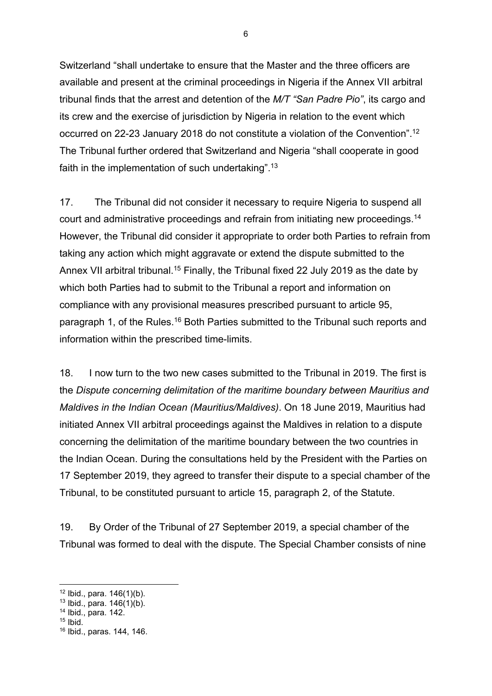Switzerland "shall undertake to ensure that the Master and the three officers are available and present at the criminal proceedings in Nigeria if the Annex VII arbitral tribunal finds that the arrest and detention of the *M/T "San Padre Pio"*, its cargo and its crew and the exercise of jurisdiction by Nigeria in relation to the event which occurred on 22-23 January 2018 do not constitute a violation of the Convention".12 The Tribunal further ordered that Switzerland and Nigeria "shall cooperate in good faith in the implementation of such undertaking".13

17. The Tribunal did not consider it necessary to require Nigeria to suspend all court and administrative proceedings and refrain from initiating new proceedings.14 However, the Tribunal did consider it appropriate to order both Parties to refrain from taking any action which might aggravate or extend the dispute submitted to the Annex VII arbitral tribunal.<sup>15</sup> Finally, the Tribunal fixed 22 July 2019 as the date by which both Parties had to submit to the Tribunal a report and information on compliance with any provisional measures prescribed pursuant to article 95, paragraph 1, of the Rules.16 Both Parties submitted to the Tribunal such reports and information within the prescribed time-limits.

18. I now turn to the two new cases submitted to the Tribunal in 2019. The first is the *Dispute concerning delimitation of the maritime boundary between Mauritius and Maldives in the Indian Ocean (Mauritius/Maldives)*. On 18 June 2019, Mauritius had initiated Annex VII arbitral proceedings against the Maldives in relation to a dispute concerning the delimitation of the maritime boundary between the two countries in the Indian Ocean. During the consultations held by the President with the Parties on 17 September 2019, they agreed to transfer their dispute to a special chamber of the Tribunal, to be constituted pursuant to article 15, paragraph 2, of the Statute.

19. By Order of the Tribunal of 27 September 2019, a special chamber of the Tribunal was formed to deal with the dispute. The Special Chamber consists of nine

 $12$  Ibid., para.  $146(1)(b)$ .

 $13$  Ibid., para.  $146(1)(b)$ . 14 Ibid., para. 142.

 $15$  Ibid.

<sup>16</sup> Ibid., paras. 144, 146.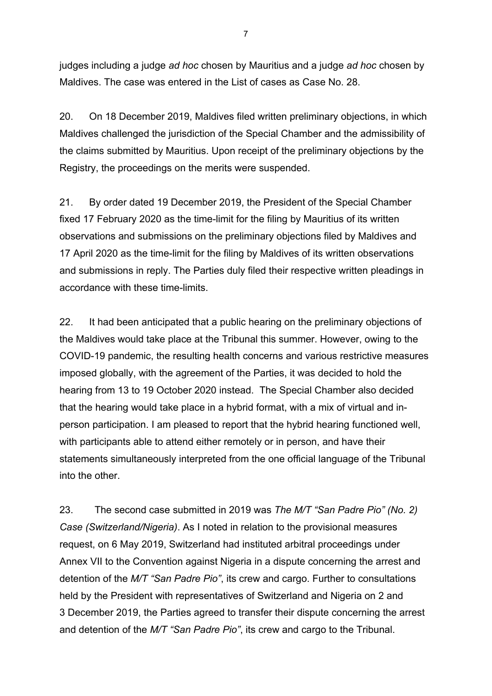judges including a judge *ad hoc* chosen by Mauritius and a judge *ad hoc* chosen by Maldives. The case was entered in the List of cases as Case No. 28.

20. On 18 December 2019, Maldives filed written preliminary objections, in which Maldives challenged the jurisdiction of the Special Chamber and the admissibility of the claims submitted by Mauritius. Upon receipt of the preliminary objections by the Registry, the proceedings on the merits were suspended.

21. By order dated 19 December 2019, the President of the Special Chamber fixed 17 February 2020 as the time-limit for the filing by Mauritius of its written observations and submissions on the preliminary objections filed by Maldives and 17 April 2020 as the time-limit for the filing by Maldives of its written observations and submissions in reply. The Parties duly filed their respective written pleadings in accordance with these time-limits.

22. It had been anticipated that a public hearing on the preliminary objections of the Maldives would take place at the Tribunal this summer. However, owing to the COVID-19 pandemic, the resulting health concerns and various restrictive measures imposed globally, with the agreement of the Parties, it was decided to hold the hearing from 13 to 19 October 2020 instead. The Special Chamber also decided that the hearing would take place in a hybrid format, with a mix of virtual and inperson participation. I am pleased to report that the hybrid hearing functioned well, with participants able to attend either remotely or in person, and have their statements simultaneously interpreted from the one official language of the Tribunal into the other.

23. The second case submitted in 2019 was *The M/T "San Padre Pio" (No. 2) Case (Switzerland/Nigeria)*. As I noted in relation to the provisional measures request, on 6 May 2019, Switzerland had instituted arbitral proceedings under Annex VII to the Convention against Nigeria in a dispute concerning the arrest and detention of the *M/T "San Padre Pio"*, its crew and cargo. Further to consultations held by the President with representatives of Switzerland and Nigeria on 2 and 3 December 2019, the Parties agreed to transfer their dispute concerning the arrest and detention of the *M/T "San Padre Pio"*, its crew and cargo to the Tribunal.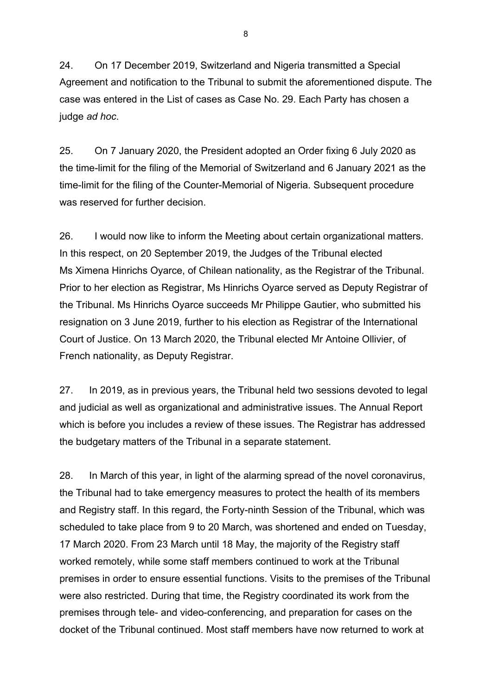24. On 17 December 2019, Switzerland and Nigeria transmitted a Special Agreement and notification to the Tribunal to submit the aforementioned dispute. The case was entered in the List of cases as Case No. 29. Each Party has chosen a judge *ad hoc*.

25. On 7 January 2020, the President adopted an Order fixing 6 July 2020 as the time-limit for the filing of the Memorial of Switzerland and 6 January 2021 as the time-limit for the filing of the Counter-Memorial of Nigeria. Subsequent procedure was reserved for further decision.

26. I would now like to inform the Meeting about certain organizational matters. In this respect, on 20 September 2019, the Judges of the Tribunal elected Ms Ximena Hinrichs Oyarce, of Chilean nationality, as the Registrar of the Tribunal. Prior to her election as Registrar, Ms Hinrichs Oyarce served as Deputy Registrar of the Tribunal. Ms Hinrichs Oyarce succeeds Mr Philippe Gautier, who submitted his resignation on 3 June 2019, further to his election as Registrar of the International Court of Justice. On 13 March 2020, the Tribunal elected Mr Antoine Ollivier, of French nationality, as Deputy Registrar.

27. In 2019, as in previous years, the Tribunal held two sessions devoted to legal and judicial as well as organizational and administrative issues. The Annual Report which is before you includes a review of these issues. The Registrar has addressed the budgetary matters of the Tribunal in a separate statement.

28. In March of this year, in light of the alarming spread of the novel coronavirus, the Tribunal had to take emergency measures to protect the health of its members and Registry staff. In this regard, the Forty-ninth Session of the Tribunal, which was scheduled to take place from 9 to 20 March, was shortened and ended on Tuesday, 17 March 2020. From 23 March until 18 May, the majority of the Registry staff worked remotely, while some staff members continued to work at the Tribunal premises in order to ensure essential functions. Visits to the premises of the Tribunal were also restricted. During that time, the Registry coordinated its work from the premises through tele- and video-conferencing, and preparation for cases on the docket of the Tribunal continued. Most staff members have now returned to work at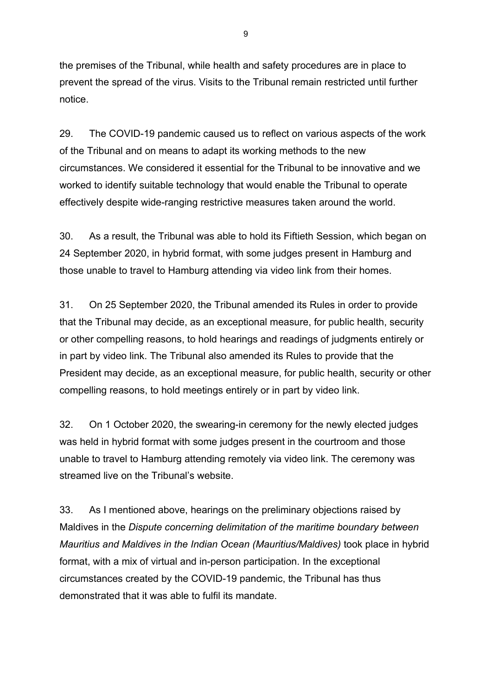the premises of the Tribunal, while health and safety procedures are in place to prevent the spread of the virus. Visits to the Tribunal remain restricted until further notice.

29. The COVID-19 pandemic caused us to reflect on various aspects of the work of the Tribunal and on means to adapt its working methods to the new circumstances. We considered it essential for the Tribunal to be innovative and we worked to identify suitable technology that would enable the Tribunal to operate effectively despite wide-ranging restrictive measures taken around the world.

30. As a result, the Tribunal was able to hold its Fiftieth Session, which began on 24 September 2020, in hybrid format, with some judges present in Hamburg and those unable to travel to Hamburg attending via video link from their homes.

31. On 25 September 2020, the Tribunal amended its Rules in order to provide that the Tribunal may decide, as an exceptional measure, for public health, security or other compelling reasons, to hold hearings and readings of judgments entirely or in part by video link. The Tribunal also amended its Rules to provide that the President may decide, as an exceptional measure, for public health, security or other compelling reasons, to hold meetings entirely or in part by video link.

32. On 1 October 2020, the swearing-in ceremony for the newly elected judges was held in hybrid format with some judges present in the courtroom and those unable to travel to Hamburg attending remotely via video link. The ceremony was streamed live on the Tribunal's website.

33. As I mentioned above, hearings on the preliminary objections raised by Maldives in the *Dispute concerning delimitation of the maritime boundary between Mauritius and Maldives in the Indian Ocean (Mauritius/Maldives)* took place in hybrid format, with a mix of virtual and in-person participation. In the exceptional circumstances created by the COVID-19 pandemic, the Tribunal has thus demonstrated that it was able to fulfil its mandate.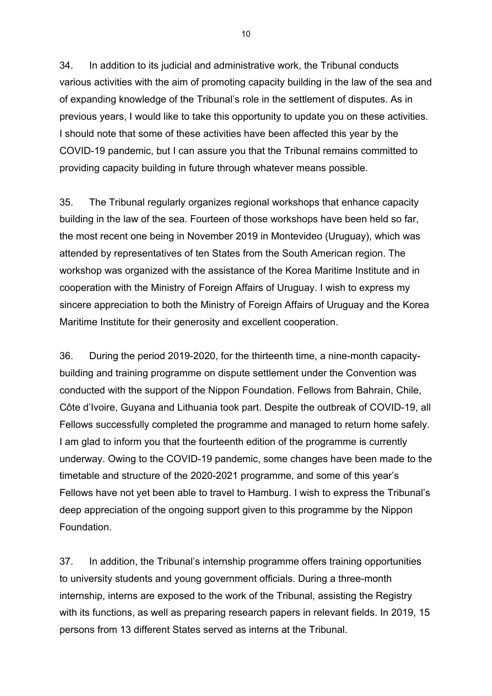34. In addition to its judicial and administrative work, the Tribunal conducts various activities with the aim of promoting capacity building in the law of the sea and of expanding knowledge of the Tribunal's role in the settlement of disputes. As in previous years, I would like to take this opportunity to update you on these activities. I should note that some of these activities have been affected this year by the COVID-19 pandemic, but I can assure you that the Tribunal remains committed to providing capacity building in future through whatever means possible.

35. The Tribunal regularly organizes regional workshops that enhance capacity building in the law of the sea. Fourteen of those workshops have been held so far, the most recent one being in November 2019 in Montevideo (Uruguay), which was attended by representatives of ten States from the South American region. The workshop was organized with the assistance of the Korea Maritime Institute and in cooperation with the Ministry of Foreign Affairs of Uruguay. I wish to express my sincere appreciation to both the Ministry of Foreign Affairs of Uruguay and the Korea Maritime Institute for their generosity and excellent cooperation.

36. During the period 2019-2020, for the thirteenth time, a nine-month capacitybuilding and training programme on dispute settlement under the Convention was conducted with the support of the Nippon Foundation. Fellows from Bahrain, Chile, Côte d'Ivoire, Guyana and Lithuania took part. Despite the outbreak of COVID-19, all Fellows successfully completed the programme and managed to return home safely. I am glad to inform you that the fourteenth edition of the programme is currently underway. Owing to the COVID-19 pandemic, some changes have been made to the timetable and structure of the 2020-2021 programme, and some of this year's Fellows have not yet been able to travel to Hamburg. I wish to express the Tribunal's deep appreciation of the ongoing support given to this programme by the Nippon Foundation.

37. In addition, the Tribunal's internship programme offers training opportunities to university students and young government officials. During a three-month internship, interns are exposed to the work of the Tribunal, assisting the Registry with its functions, as well as preparing research papers in relevant fields. In 2019, 15 persons from 13 different States served as interns at the Tribunal.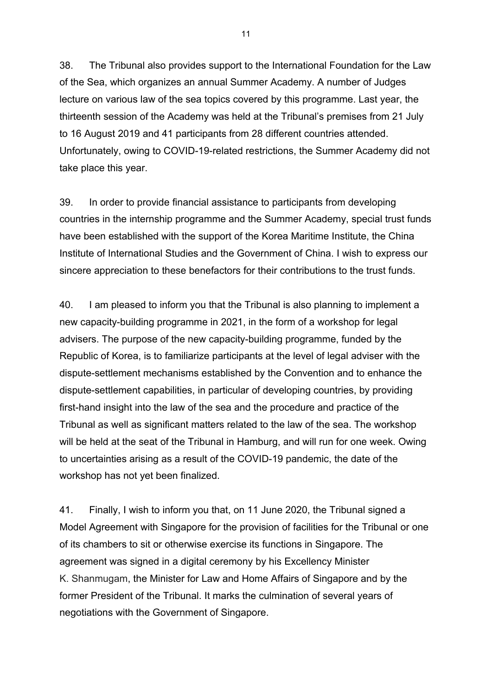38. The Tribunal also provides support to the International Foundation for the Law of the Sea, which organizes an annual Summer Academy. A number of Judges lecture on various law of the sea topics covered by this programme. Last year, the thirteenth session of the Academy was held at the Tribunal's premises from 21 July to 16 August 2019 and 41 participants from 28 different countries attended. Unfortunately, owing to COVID-19-related restrictions, the Summer Academy did not take place this year.

39. In order to provide financial assistance to participants from developing countries in the internship programme and the Summer Academy, special trust funds have been established with the support of the Korea Maritime Institute, the China Institute of International Studies and the Government of China. I wish to express our sincere appreciation to these benefactors for their contributions to the trust funds.

40. I am pleased to inform you that the Tribunal is also planning to implement a new capacity-building programme in 2021, in the form of a workshop for legal advisers. The purpose of the new capacity-building programme, funded by the Republic of Korea, is to familiarize participants at the level of legal adviser with the dispute-settlement mechanisms established by the Convention and to enhance the dispute-settlement capabilities, in particular of developing countries, by providing first-hand insight into the law of the sea and the procedure and practice of the Tribunal as well as significant matters related to the law of the sea. The workshop will be held at the seat of the Tribunal in Hamburg, and will run for one week. Owing to uncertainties arising as a result of the COVID-19 pandemic, the date of the workshop has not yet been finalized.

41. Finally, I wish to inform you that, on 11 June 2020, the Tribunal signed a Model Agreement with Singapore for the provision of facilities for the Tribunal or one of its chambers to sit or otherwise exercise its functions in Singapore. The agreement was signed in a digital ceremony by his Excellency Minister K. Shanmugam, the Minister for Law and Home Affairs of Singapore and by the former President of the Tribunal. It marks the culmination of several years of negotiations with the Government of Singapore.